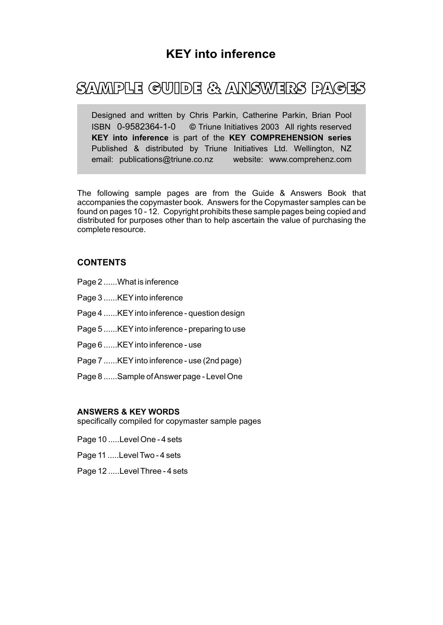# SAMPLE GUIDE & ANSWERS PAGES

Designed and written by Chris Parkin, Catherine Parkin, Brian Pool ISBN 0-9582364-1-0 **©** Triune Initiatives 2003 All rights reserved **KEY into inference** is part of the **KEY COMPREHENSION series** Published & distributed by Triune Initiatives Ltd. Wellington, NZ email: publications@triune.co.nz website: www.comprehenz.com

The following sample pages are from the Guide & Answers Book that accompanies the copymaster book. Answers for the Copymaster samples can be found on pages 10 - 12. Copyright prohibits these sample pages being copied and distributed for purposes other than to help ascertain the value of purchasing the complete resource.

### **CONTENTS**

- Page 2 ......What is inference
- Page 3 ......KEY into inference
- Page 4 ......KEY into inference question design
- Page 5 ......KEY into inference preparing to use
- Page 6 ......KEY into inference use
- Page 7 ......KEY into inference use (2nd page)
- Page 8 ......Sample of Answer page Level One

#### **ANSWERS & KEY WORDS**

specifically compiled for copymaster sample pages

- Page 10 .....Level One 4 sets
- Page 11 .....Level Two 4 sets
- Page 12 .....Level Three 4 sets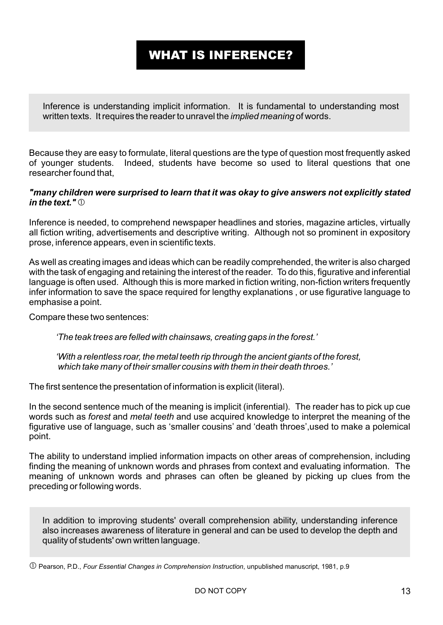# WHAT IS INFERENCE?

Inference is understanding implicit information. It is fundamental to understanding most written texts. It requires the reader to unravel the *implied meaning* of words.

Because they are easy to formulate, literal questions are the type of question most frequently asked of younger students. Indeed, students have become so used to literal questions that one researcher found that,

### *"many children were surprised to learn that it was okay to give answers not explicitly stated in the text."*

Inference is needed, to comprehend newspaper headlines and stories, magazine articles, virtually all fiction writing, advertisements and descriptive writing. Although not so prominent in expository prose, inference appears, even in scientific texts.

As well as creating images and ideas which can be readily comprehended, the writer is also charged with the task of engaging and retaining the interest of the reader. To do this, figurative and inferential language is often used. Although this is more marked in fiction writing, non-fiction writers frequently infer information to save the space required for lengthy explanations , or use figurative language to emphasise a point.

Compare these two sentences:

*'The teak trees are felled with chainsaws, creating gaps in the forest.'*

*'With a relentless roar, the metal teeth rip through the ancient giants of the forest, which take many of their smaller cousins with them in their death throes.'*

The first sentence the presentation of information is explicit (literal).

In the second sentence much of the meaning is implicit (inferential). The reader has to pick up cue words such as *forest* and *metal teeth* and use acquired knowledge to interpret the meaning of the figurative use of language, such as 'smaller cousins' and 'death throes',used to make a polemical point.

The ability to understand implied information impacts on other areas of comprehension, including finding the meaning of unknown words and phrases from context and evaluating information. The meaning of unknown words and phrases can often be gleaned by picking up clues from the preceding or following words.

In addition to improving students' overall comprehension ability, understanding inference also increases awareness of literature in general and can be used to develop the depth and quality of students' own written language.

Pearson, P.D., *Four Essential Changes in Comprehension Instruction*, unpublished manuscript, 1981, p.9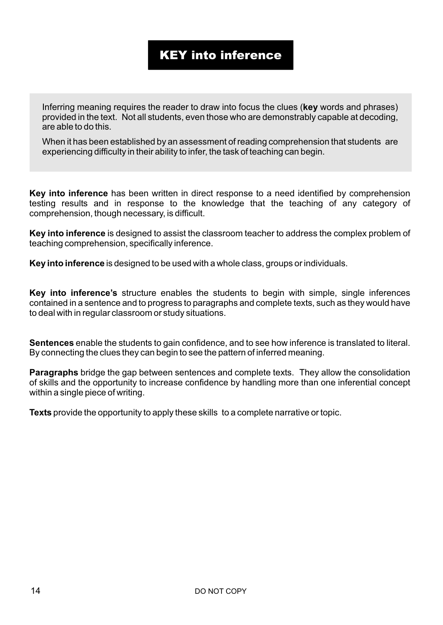# KEY into inference

Inferring meaning requires the reader to draw into focus the clues (**key** words and phrases) provided in the text. Not all students, even those who are demonstrably capable at decoding, are able to do this.

When it has been established by an assessment of reading comprehension that students are experiencing difficulty in their ability to infer, the task of teaching can begin.

**Key into inference** has been written in direct response to a need identified by comprehension testing results and in response to the knowledge that the teaching of any category of comprehension, though necessary, is difficult.

**Key into inference** is designed to assist the classroom teacher to address the complex problem of teaching comprehension, specifically inference.

**Key into inference** is designed to be used with a whole class, groups or individuals.

**Key into inference's** structure enables the students to begin with simple, single inferences contained in a sentence and to progress to paragraphs and complete texts, such as they would have to deal with in regular classroom or study situations.

**Sentences** enable the students to gain confidence, and to see how inference is translated to literal. By connecting the clues they can begin to see the pattern of inferred meaning.

**Paragraphs** bridge the gap between sentences and complete texts. They allow the consolidation of skills and the opportunity to increase confidence by handling more than one inferential concept within a single piece of writing.

**Texts** provide the opportunity to apply these skills to a complete narrative or topic.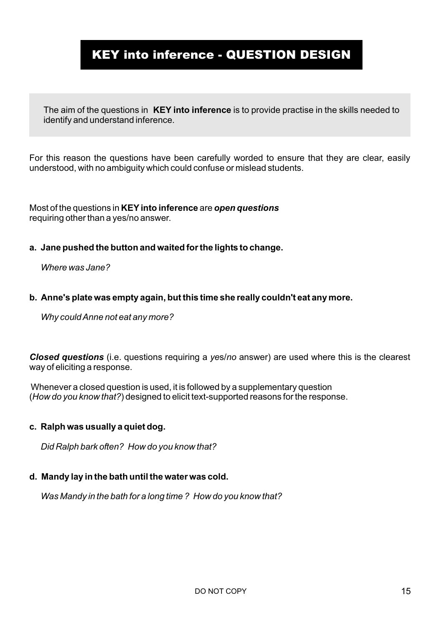# KEY into inference - QUESTION DESIGN

The aim of the questions in **KEY into inference** is to provide practise in the skills needed to identify and understand inference.

For this reason the questions have been carefully worded to ensure that they are clear, easily understood, with no ambiguity which could confuse or mislead students.

Most of the questions in **KEY into inference** are *open questions* requiring other than a yes/no answer.

**a. Jane pushed the button and waited for the lights to change.**

 *Where was Jane?*

### **b. Anne's plate was empty again, but this time she really couldn't eat any more.**

 *Why could Anne not eat any more?*

*Closed questions* (i.e. questions requiring a *ye*s/*no* answer) are used where this is the clearest way of eliciting a response.

 Whenever a closed question is used, it is followed by a supplementary question (*How do you know that?*) designed to elicit text-supported reasons for the response.

## **c. Ralph was usually a quiet dog.**

 *Did Ralph bark often? How do you know that?*

## **d. Mandy lay in the bath until the water was cold.**

 *Was Mandy in the bath for a long time ? How do you know that?*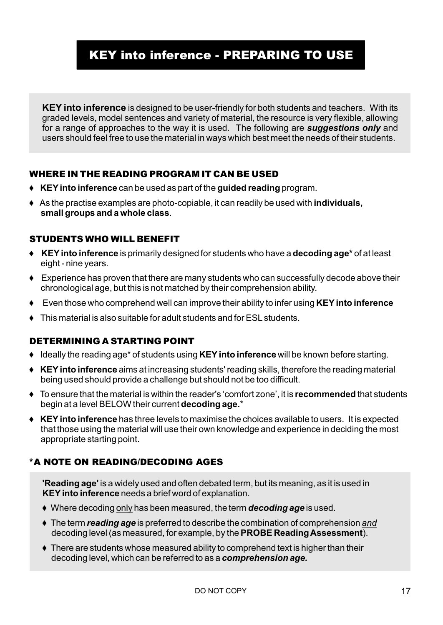# KEY into inference - PREPARING TO USE

**KEY into inference** is designed to be user-friendly for both students and teachers. With its graded levels, model sentences and variety of material, the resource is very flexible, allowing for a range of approaches to the way it is used. The following are *suggestions only* and users should feel free to use the material in ways which best meet the needs of their students.

## WHERE IN THE READING PROGRAM IT CAN BE USED

- 6 **KEY into inference** can be used as part of the **guided reading** program.
- 6 As the practise examples are photo-copiable, it can readily be used with **individuals, small groups and a whole class**.

## STUDENTS WHO WILL BENEFIT

- 6 **KEY into inference** is primarily designed for students who have a **decoding age\*** of at least eight - nine years.
- $\triangle$  Experience has proven that there are many students who can successfully decode above their chronological age, but this is not matched by their comprehension ability.
- 6 Even those who comprehend well can improve their ability to infer using **KEY into inference**
- $\bullet$  This material is also suitable for adult students and for ESL students.

## DETERMINING A STARTING POINT

- 6 Ideally the reading age\* of students using **KEY into inference** will be known before starting.
- 6 **KEY into inference** aims at increasing students' reading skills, therefore the reading material being used should provide a challenge but should not be too difficult.
- 6 To ensure that the material is within the reader's 'comfort zone', it is **recommended** that students begin at a level BELOW their current **decoding age.**\*
- 6 **KEY into inference** has three levels to maximise the choices available to users. It is expected that those using the material will use their own knowledge and experience in deciding the most appropriate starting point.

## \*A NOTE ON READING/DECODING AGES

**'Reading age'** is a widely used and often debated term, but its meaning, as it is used in **KEY into inference** needs a brief word of explanation.

- 6 Where decoding only has been measured, the term *decoding age* is used.
- 6 The term *reading age* is preferred to describe the combination of comprehension *and* decoding level (as measured, for example, by the **PROBE Reading Assessment**).
- $\bullet$  There are students whose measured ability to comprehend text is higher than their decoding level, which can be referred to as a *comprehension age.*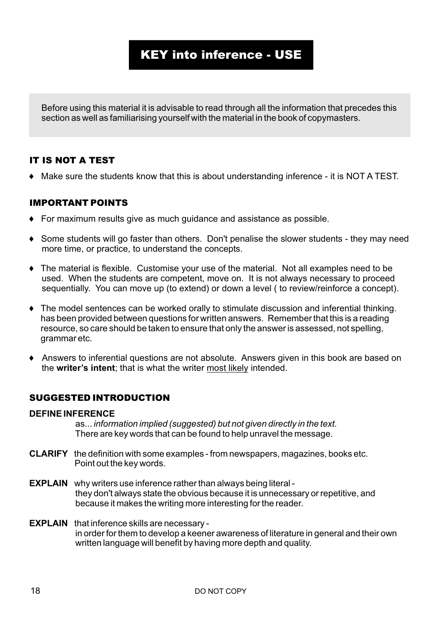# KEY into inference - USE

Before using this material it is advisable to read through all the information that precedes this section as well as familiarising yourself with the material in the book of copymasters.

## IT IS NOT A TEST

6 Make sure the students know that this is about understanding inference - it is NOT A TEST.

## IMPORTANT POINTS

- $\bullet$  For maximum results give as much guidance and assistance as possible.
- 6 Some students will go faster than others. Don't penalise the slower students they may need more time, or practice, to understand the concepts.
- 6 The material is flexible. Customise your use of the material. Not all examples need to be used. When the students are competent, move on. It is not always necessary to proceed sequentially. You can move up (to extend) or down a level ( to review/reinforce a concept).
- 6 The model sentences can be worked orally to stimulate discussion and inferential thinking. has been provided between questions for written answers. Remember that this is a reading resource, so care should be taken to ensure that only the answer is assessed, not spelling, grammar etc.
- 6 Answers to inferential questions are not absolute. Answers given in this book are based on the **writer's intent**; that is what the writer most likely intended.

## SUGGESTED INTRODUCTION

### **DEFINE INFERENCE**

as... *information implied (suggested) but not given directly in the text.* There are key words that can be found to help unravel the message.

- **CLARIFY** the definition with some examples from newspapers, magazines, books etc. Point out the key words.
- **EXPLAIN** why writers use inference rather than always being literal they don't always state the obvious because it is unnecessary or repetitive, and because it makes the writing more interesting for the reader.
- **EXPLAIN** that inference skills are necessary in order for them to develop a keener awareness of literature in general and their own written language will benefit by having more depth and quality.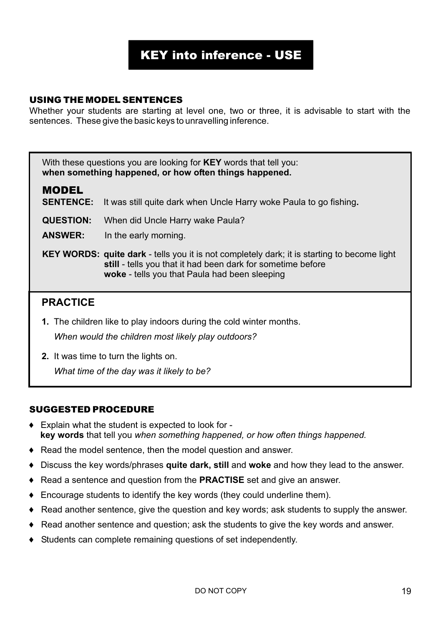# KEY into inference - USE

## USING THE MODEL SENTENCES

Whether your students are starting at level one, two or three, it is advisable to start with the sentences. These give the basic keys to unravelling inference.

With these questions you are looking for **KEY** words that tell you: **when something happened, or how often things happened.**

## MODEL

**SENTENCE:** It was still quite dark when Uncle Harry woke Paula to go fishing**.**

**QUESTION:** When did Uncle Harry wake Paula?

**ANSWER:** In the early morning.

**KEY WORDS: quite dark** - tells you it is not completely dark; it is starting to become light **still** - tells you that it had been dark for sometime before  **woke** - tells you that Paula had been sleeping

## **PRACTICE**

- **1.** The children like to play indoors during the cold winter months. *When would the children most likely play outdoors?*
- **2.** It was time to turn the lights on.

*What time of the day was it likely to be?*

## SUGGESTED PROCEDURE

- $\bullet$  Explain what the student is expected to look for **key words** that tell you *when something happened, or how often things happened.*
- 6 Read the model sentence, then the model question and answer.
- 6 Discuss the key words/phrases **quite dark, still** and **woke** and how they lead to the answer.
- 6 Read a sentence and question from the **PRACTISE** set and give an answer.
- 6 Encourage students to identify the key words (they could underline them).
- 6 Read another sentence, give the question and key words; ask students to supply the answer.
- $\bullet$  Read another sentence and question; ask the students to give the key words and answer.
- 6 Students can complete remaining questions of set independently.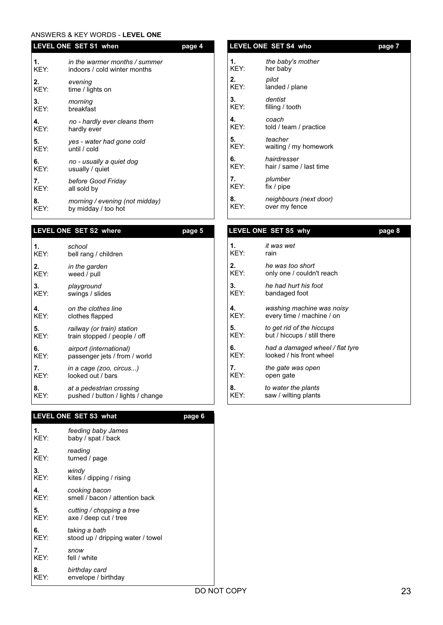#### ANSWERS & KEY WORDS - **LEVEL ONE**

|            | LEVEL ONE SET S1 when<br><u>page 4</u>                        |  |  |
|------------|---------------------------------------------------------------|--|--|
| 1.<br>KEY: | in the warmer months / summer<br>indoors / cold winter months |  |  |
| 2.<br>KEY: | evening<br>time / lights on                                   |  |  |
| 3.<br>KEY: | morning<br>breakfast                                          |  |  |
| 4.<br>KEY: | no - hardly ever cleans them<br>hardly ever                   |  |  |
| 5.<br>KEY: | yes - water had gone cold<br>until / cold                     |  |  |
| 6.<br>KEY: | no - usually a quiet dog<br>usually / quiet                   |  |  |
| 7.<br>KEY: | before Good Friday<br>all sold by                             |  |  |
| 8.<br>KEY: | morning / evening (not midday)<br>by midday / too hot         |  |  |
|            |                                                               |  |  |

#### LEVEL ONE SET S2 where **page 5**

| 1.   | school                            |
|------|-----------------------------------|
| KEY: | bell rang / children              |
| 2.   | in the garden                     |
| KEY: | weed / pull                       |
| 3.   | playground                        |
| KEY: | swings / slides                   |
| 4.   | on the clothes line               |
| KEY: | clothes flapped                   |
| 5.   | railway (or train) station        |
| KEY: | train stopped / people / off      |
| 6.   | airport (international)           |
| KFY: | passenger jets / from / world     |
| 7.   | in a cage (zoo, circus)           |
| KEY: | looked out / bars                 |
| 8.   | at a pedestrian crossing          |
| KEY: | pushed / button / lights / change |

#### LEVEL ONE SET S3 what **page 6**

| 1.   | feeding baby James                |
|------|-----------------------------------|
| KEY: | baby / spat / back                |
| 2.   | reading                           |
| KEY: | turned / page                     |
| 3.   | windy                             |
| KEY: | kites / dipping / rising          |
| 4.   | cooking bacon                     |
| KEY: | smell / bacon / attention back    |
| 5.   | cutting / chopping a tree         |
| KEY: | axe / deep cut / tree             |
| 6.   | taking a bath                     |
| KEY: | stood up / dripping water / towel |
| 7.   | snow                              |
| KEY: | fell / white                      |
| 8.   | birthday card                     |
| KEY: | envelope / birthday               |

## **1.** *the baby's mother* her baby **2.** *pilot* landed / plane **3.** *dentist* filling / tooth **4.** *coach* told / team / practice **5.** *teacher* waiting / my homework **6.** *hairdresser* hair / same / last time **7.** *plumber*  $fix / pipe$ **8.** *neighbours (next door)* over my fence LEVEL ONE SET S4 who **page 7**

#### LEVEL ONE SET S5 why **page 8**

| 1.   | it was wet                      |
|------|---------------------------------|
| KEY: | rain                            |
| 2.   | he was too short                |
| KEY: | only one / couldn't reach       |
| 3.   | he had hurt his foot            |
| KEY: | bandaged foot                   |
| 4.   | washing machine was noisy       |
| KEY: | every time / machine / on       |
| 5.   | to get rid of the hiccups       |
| KEY: | but / hiccups / still there     |
| 6.   | had a damaged wheel / flat tyre |
| KEY: | looked / his front wheel        |
| 7.   | the gate was open               |
| KEY: | open gate                       |
| 8.   | to water the plants             |
| KEY: | saw / wilting plants            |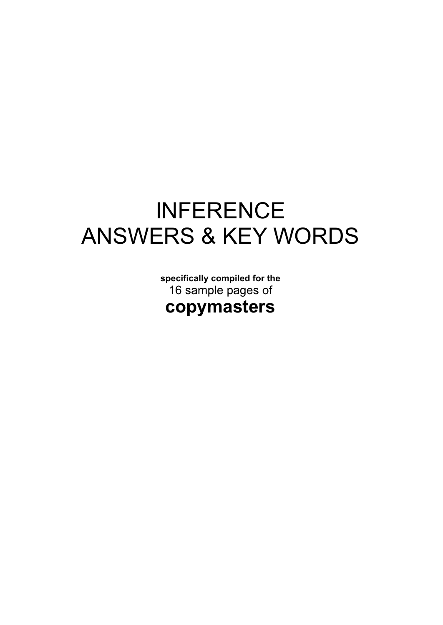# INFERENCE ANSWERS & KEY WORDS

**specifically compiled for the** 16 sample pages of **copymasters**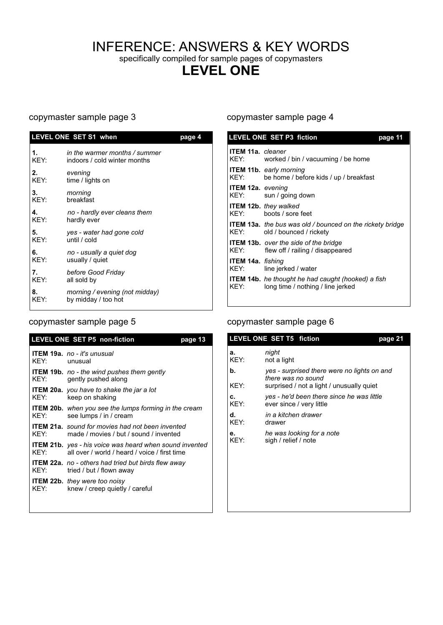# INFERENCE: ANSWERS & KEY WORDS

specifically compiled for sample pages of copymasters

# **LEVEL ONE**

| LEVEL ONE SET S1 when<br>page 4 |                                                               |  |
|---------------------------------|---------------------------------------------------------------|--|
| 1.<br>KEY:                      | in the warmer months / summer<br>indoors / cold winter months |  |
| 2.<br>KEY:                      | evening<br>time / lights on                                   |  |
| 3.<br>KEY:                      | morning<br>breakfast                                          |  |
| 4.<br>KEY:                      | no - hardly ever cleans them<br>hardly ever                   |  |
| 5.<br>KEY:                      | yes - water had gone cold<br>until / cold                     |  |
| 6.<br>KEY:                      | no - usually a quiet dog<br>usually / quiet                   |  |
| 7.<br>KEY:                      | before Good Friday<br>all sold by                             |  |
| 8.<br>KEY:                      | morning / evening (not midday)<br>by midday / too hot         |  |

| <b>LEVEL ONE SET P5 non-fiction</b><br>page 13 |                                                                                                                 |  |  |  |
|------------------------------------------------|-----------------------------------------------------------------------------------------------------------------|--|--|--|
| KFY:                                           | <b>ITEM 19a.</b> no - it's unusual<br>unusual                                                                   |  |  |  |
| KFY:                                           | <b>ITEM 19b.</b> no - the wind pushes them gently<br>gently pushed along                                        |  |  |  |
| KFY:                                           | <b>ITEM 20a.</b> you have to shake the jar a lot<br>keep on shaking                                             |  |  |  |
| KFY:                                           | <b>ITEM 20b.</b> when you see the lumps forming in the cream<br>see lumps / in / cream                          |  |  |  |
| KFY:                                           | <b>ITEM 21a.</b> sound for movies had not been invented<br>made / movies / but / sound / invented               |  |  |  |
| KFY:                                           | <b>ITEM 21b.</b> yes - his voice was heard when sound invented<br>all over / world / heard / voice / first time |  |  |  |
| KEY:                                           | <b>ITEM 22a.</b> no - others had tried but birds flew away<br>tried / but / flown away                          |  |  |  |
| KFY:                                           | <b>ITEM 22b.</b> they were too noisy<br>knew / creep quietly / careful                                          |  |  |  |

### copymaster sample page 3 copymaster sample page 4

| <b>LEVEL ONE SET P3 fiction</b><br>page 11 |                                                                                                |  |  |  |
|--------------------------------------------|------------------------------------------------------------------------------------------------|--|--|--|
| <b>ITEM 11a.</b> cleaner<br>KEY:           | worked / bin / vacuuming / be home                                                             |  |  |  |
| KEY:                                       | <b>ITEM 11b.</b> early morning<br>be home / before kids / up / breakfast                       |  |  |  |
| <b>ITEM 12a.</b> evening<br>KEY:           | sun / going down                                                                               |  |  |  |
| KEY:                                       | <b>ITEM 12b.</b> they walked<br>boots / sore feet                                              |  |  |  |
| KEY:                                       | <b>ITEM 13a.</b> the bus was old / bounced on the rickety bridge<br>old / bounced / rickety    |  |  |  |
| KEY:                                       | <b>ITEM 13b.</b> over the side of the bridge<br>flew off / railing / disappeared               |  |  |  |
| <b>ITEM 14a.</b> fishing<br>KEY:           | line jerked / water                                                                            |  |  |  |
| KEY:                                       | <b>ITEM 14b.</b> he thought he had caught (hooked) a fish<br>long time / nothing / line jerked |  |  |  |

## copymaster sample page 5 copymaster sample page 6

|            | LEVEL ONE SET T5 fiction                                              | page 21 |
|------------|-----------------------------------------------------------------------|---------|
| a.<br>KEY: | night<br>not a light                                                  |         |
| b.         | yes - surprised there were no lights on and<br>there was no sound     |         |
| KEY:       | surprised / not a light / unusually quiet                             |         |
| C.<br>KEY: | yes - he'd been there since he was little<br>ever since / very little |         |
| d.<br>KEY: | in a kitchen drawer<br>drawer                                         |         |
| e.<br>KEY: | he was looking for a note<br>sigh / relief / note                     |         |
|            |                                                                       |         |
|            |                                                                       |         |
|            |                                                                       |         |
|            |                                                                       |         |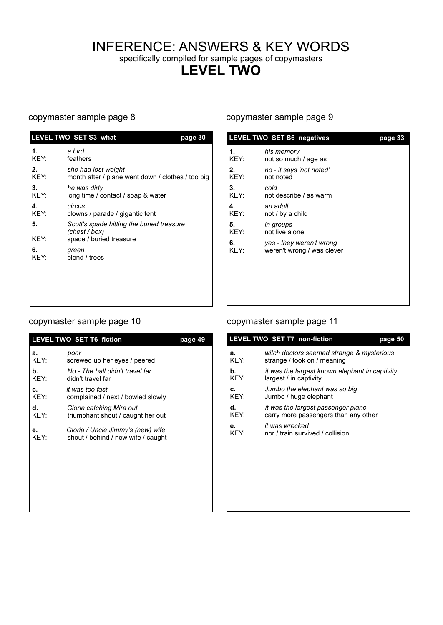# INFERENCE: ANSWERS & KEY WORDS

specifically compiled for sample pages of copymasters

# **LEVEL TWO**

|            | <b>LEVEL TWO SET S3 what</b>                                                          | page 30 |
|------------|---------------------------------------------------------------------------------------|---------|
| 1.<br>KEY: | a bird<br>feathers                                                                    |         |
| 2.<br>KEY: | she had lost weight<br>month after / plane went down / clothes / too big              |         |
| 3.<br>KEY: | he was dirty<br>long time / contact / soap & water                                    |         |
| 4.<br>KEY: | circus<br>clowns / parade / gigantic tent                                             |         |
| 5.<br>KEY: | Scott's spade hitting the buried treasure<br>(chest / box)<br>spade / buried treasure |         |
| 6.<br>KEY: | green<br>blend / trees                                                                |         |
|            |                                                                                       |         |
|            |                                                                                       |         |

#### copymaster sample page 8 copymaster sample page 9

|            | <b>LEVEL TWO SET S6 negatives</b>                      | page 33 |
|------------|--------------------------------------------------------|---------|
| 1.<br>KEY: | his memory<br>not so much / age as                     |         |
| 2.<br>KEY: | no - it says 'not noted'<br>not noted                  |         |
| 3.<br>KEY: | cold<br>not describe / as warm                         |         |
| 4.<br>KEY: | an adult<br>not / by a child                           |         |
| 5.<br>KEY: | in groups<br>not live alone                            |         |
| 6.<br>KEY: | yes - they weren't wrong<br>weren't wrong / was clever |         |
|            |                                                        |         |

## copymaster sample page 10 copymaster sample page 11

|            | <b>LEVEL TWO SET T6 fiction</b><br>page 49                              |  |  |
|------------|-------------------------------------------------------------------------|--|--|
| a.<br>KEY: | poor<br>screwed up her eyes / peered                                    |  |  |
| b.<br>KEY: | No - The ball didn't travel far<br>didn't travel far                    |  |  |
| C.<br>KEY: | it was too fast<br>complained / next / bowled slowly                    |  |  |
| d.<br>KEY: | Gloria catching Mira out<br>triumphant shout / caught her out           |  |  |
| e.<br>KEY: | Gloria / Uncle Jimmy's (new) wife<br>shout / behind / new wife / caught |  |  |

| <b>LEVEL TWO SET T6 fiction</b> |                                    | page 49 |      | <b>LEVEL TWO SET T7 non-fiction</b><br>page 50 |
|---------------------------------|------------------------------------|---------|------|------------------------------------------------|
| а.                              | poor                               |         | а.   | witch doctors seemed strange & mysterious      |
| KEY:                            | screwed up her eyes / peered       |         | KEY: | strange / took on / meaning                    |
| b.                              | No - The ball didn't travel far    |         | b.   | it was the largest known elephant in captivity |
| KEY:                            | didn't travel far                  |         | KEY: | largest / in captivity                         |
| c.                              | it was too fast                    |         | c.   | Jumbo the elephant was so big                  |
| KEY:                            | complained / next / bowled slowly  |         | KEY: | Jumbo / huge elephant                          |
| d.                              | Gloria catching Mira out           |         | d.   | it was the largest passenger plane             |
| KEY:                            | triumphant shout / caught her out  |         | KEY: | carry more passengers than any other           |
| е.                              | Gloria / Uncle Jimmy's (new) wife  |         | е.   | it was wrecked                                 |
| KEY:                            | shout / behind / new wife / caught |         | KEY: | nor / train survived / collision               |
|                                 |                                    |         |      |                                                |
|                                 |                                    |         |      |                                                |